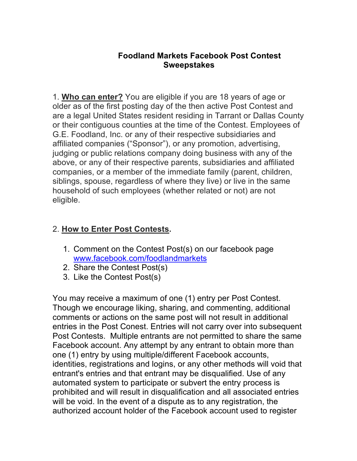## **Foodland Markets Facebook Post Contest Sweepstakes**

1. **Who can enter?** You are eligible if you are 18 years of age or older as of the first posting day of the then active Post Contest and are a legal United States resident residing in Tarrant or Dallas County or their contiguous counties at the time of the Contest. Employees of G.E. Foodland, Inc. or any of their respective subsidiaries and affiliated companies ("Sponsor"), or any promotion, advertising, judging or public relations company doing business with any of the above, or any of their respective parents, subsidiaries and affiliated companies, or a member of the immediate family (parent, children, siblings, spouse, regardless of where they live) or live in the same household of such employees (whether related or not) are not eligible.

## 2. **How to Enter Post Contests.**

- 1. Comment on the Contest Post(s) on our facebook page www.facebook.com/foodlandmarkets
- 2. Share the Contest Post(s)
- 3. Like the Contest Post(s)

You may receive a maximum of one (1) entry per Post Contest. Though we encourage liking, sharing, and commenting, additional comments or actions on the same post will not result in additional entries in the Post Conest. Entries will not carry over into subsequent Post Contests. Multiple entrants are not permitted to share the same Facebook account. Any attempt by any entrant to obtain more than one (1) entry by using multiple/different Facebook accounts, identities, registrations and logins, or any other methods will void that entrant's entries and that entrant may be disqualified. Use of any automated system to participate or subvert the entry process is prohibited and will result in disqualification and all associated entries will be void. In the event of a dispute as to any registration, the authorized account holder of the Facebook account used to register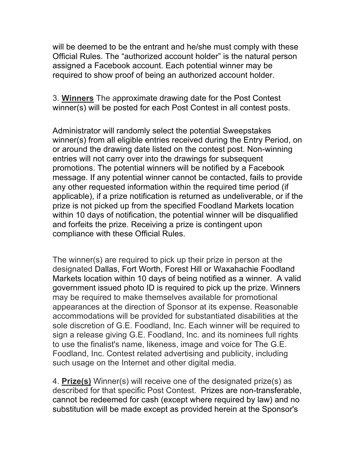will be deemed to be the entrant and he/she must comply with these Official Rules. The "authorized account holder" is the natural person assigned a Facebook account. Each potential winner may be required to show proof of being an authorized account holder.

3. **Winners** The approximate drawing date for the Post Contest winner(s) will be posted for each Post Contest in all contest posts.

Administrator will randomly select the potential Sweepstakes winner(s) from all eligible entries received during the Entry Period, on or around the drawing date listed on the contest post. Non-winning entries will not carry over into the drawings for subsequent promotions. The potential winners will be notified by a Facebook message. If any potential winner cannot be contacted, fails to provide any other requested information within the required time period (if applicable), if a prize notification is returned as undeliverable, or if the prize is not picked up from the specified Foodland Markets location within 10 days of notification, the potential winner will be disqualified and forfeits the prize. Receiving a prize is contingent upon compliance with these Official Rules.

The winner(s) are required to pick up their prize in person at the designated Dallas, Fort Worth, Forest Hill or Waxahachie Foodland Markets location within 10 days of being notified as a winner. A valid government issued photo ID is required to pick up the prize. Winners may be required to make themselves available for promotional appearances at the direction of Sponsor at its expense. Reasonable accommodations will be provided for substantiated disabilities at the sole discretion of G.E. Foodland, Inc. Each winner will be required to sign a release giving G.E. Foodland, Inc. and its nominees full rights to use the finalist's name, likeness, image and voice for The G.E. Foodland, Inc. Contest related advertising and publicity, including such usage on the Internet and other digital media.

4. **Prize(s)** Winner(s) will receive one of the designated prize(s) as described for that specific Post Contest. Prizes are non-transferable, cannot be redeemed for cash (except where required by law) and no substitution will be made except as provided herein at the Sponsor's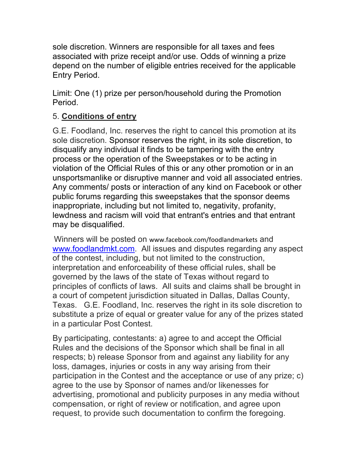sole discretion. Winners are responsible for all taxes and fees associated with prize receipt and/or use. Odds of winning a prize depend on the number of eligible entries received for the applicable Entry Period.

Limit: One (1) prize per person/household during the Promotion Period.

## 5. **Conditions of entry**

G.E. Foodland, Inc. reserves the right to cancel this promotion at its sole discretion. Sponsor reserves the right, in its sole discretion, to disqualify any individual it finds to be tampering with the entry process or the operation of the Sweepstakes or to be acting in violation of the Official Rules of this or any other promotion or in an unsportsmanlike or disruptive manner and void all associated entries. Any comments/ posts or interaction of any kind on Facebook or other public forums regarding this sweepstakes that the sponsor deems inappropriate, including but not limited to, negativity, profanity, lewdness and racism will void that entrant's entries and that entrant may be disqualified.

Winners will be posted on www.facebook.com/foodlandmarkets and www.foodlandmkt.com. All issues and disputes regarding any aspect of the contest, including, but not limited to the construction, interpretation and enforceability of these official rules, shall be governed by the laws of the state of Texas without regard to principles of conflicts of laws. All suits and claims shall be brought in a court of competent jurisdiction situated in Dallas, Dallas County, Texas. G.E. Foodland, Inc. reserves the right in its sole discretion to substitute a prize of equal or greater value for any of the prizes stated in a particular Post Contest.

By participating, contestants: a) agree to and accept the Official Rules and the decisions of the Sponsor which shall be final in all respects; b) release Sponsor from and against any liability for any loss, damages, injuries or costs in any way arising from their participation in the Contest and the acceptance or use of any prize; c) agree to the use by Sponsor of names and/or likenesses for advertising, promotional and publicity purposes in any media without compensation, or right of review or notification, and agree upon request, to provide such documentation to confirm the foregoing.